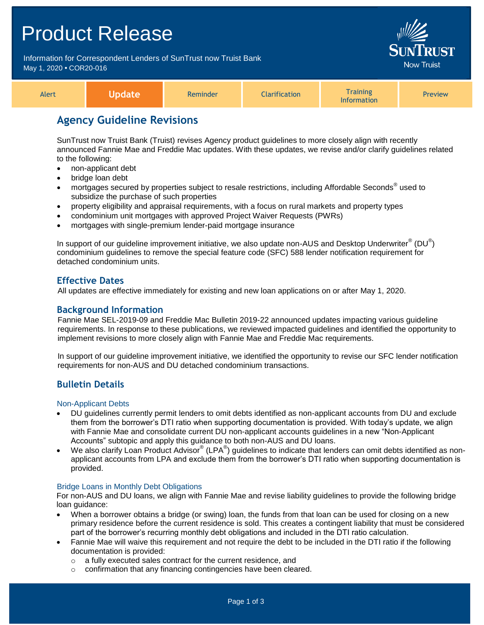## Product Release

Information for Correspondent Lenders of SunTrust now Truist Bank May 1, 2020 **•** COR20-016



| lert |  | mindor |  | <b>Training</b><br>ation | <b>Preview</b> |
|------|--|--------|--|--------------------------|----------------|
|------|--|--------|--|--------------------------|----------------|

## **Agency Guideline Revisions**

SunTrust now Truist Bank (Truist) revises Agency product guidelines to more closely align with recently announced Fannie Mae and Freddie Mac updates. With these updates, we revise and/or clarify guidelines related to the following:

- non-applicant debt
- bridge loan debt
- mortgages secured by properties subject to resale restrictions, including Affordable Seconds<sup>®</sup> used to subsidize the purchase of such properties
- property eligibility and appraisal requirements, with a focus on rural markets and property types
- condominium unit mortgages with approved Project Waiver Requests (PWRs)
- mortgages with single-premium lender-paid mortgage insurance

In support of our guideline improvement initiative, we also update non-AUS and Desktop Underwriter $^{\circ\!\circ}$  (DU $^{\circ\!\circ}$ ) condominium guidelines to remove the special feature code (SFC) 588 lender notification requirement for detached condominium units.

## **Effective Dates**

All updates are effective immediately for existing and new loan applications on or after May 1, 2020.

### **Background Information**

Fannie Mae SEL-2019-09 and Freddie Mac Bulletin 2019-22 announced updates impacting various guideline requirements. In response to these publications, we reviewed impacted guidelines and identified the opportunity to implement revisions to more closely align with Fannie Mae and Freddie Mac requirements.

In support of our guideline improvement initiative, we identified the opportunity to revise our SFC lender notification requirements for non-AUS and DU detached condominium transactions.

## **Bulletin Details**

Non-Applicant Debts

- DU guidelines currently permit lenders to omit debts identified as non-applicant accounts from DU and exclude them from the borrower's DTI ratio when supporting documentation is provided. With today's update, we align with Fannie Mae and consolidate current DU non-applicant accounts guidelines in a new "Non-Applicant Accounts" subtopic and apply this guidance to both non-AUS and DU loans.
- We also clarify Loan Product Advisor® (LPA®) guidelines to indicate that lenders can omit debts identified as nonapplicant accounts from LPA and exclude them from the borrower's DTI ratio when supporting documentation is provided.

#### Bridge Loans in Monthly Debt Obligations

For non-AUS and DU loans, we align with Fannie Mae and revise liability guidelines to provide the following bridge loan guidance:

- When a borrower obtains a bridge (or swing) loan, the funds from that loan can be used for closing on a new primary residence before the current residence is sold. This creates a contingent liability that must be considered part of the borrower's recurring monthly debt obligations and included in the DTI ratio calculation.
- Fannie Mae will waive this requirement and not require the debt to be included in the DTI ratio if the following documentation is provided:
	- o a fully executed sales contract for the current residence, and
	- o confirmation that any financing contingencies have been cleared.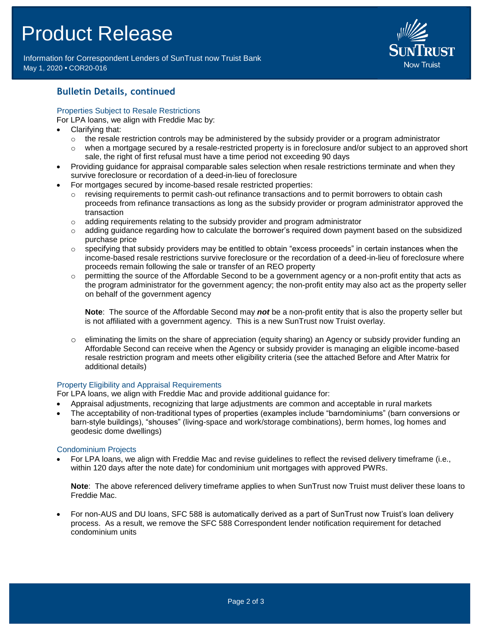# Product Release

Information for Correspondent Lenders of SunTrust now Truist Bank May 1, 2020 **•** COR20-016



## **Bulletin Details, continued**

#### Properties Subject to Resale Restrictions

For LPA loans, we align with Freddie Mac by:

- Clarifying that:
	- $\circ$  the resale restriction controls may be administered by the subsidy provider or a program administrator
	- $\circ$  when a mortgage secured by a resale-restricted property is in foreclosure and/or subject to an approved short sale, the right of first refusal must have a time period not exceeding 90 days
- Providing guidance for appraisal comparable sales selection when resale restrictions terminate and when they survive foreclosure or recordation of a deed-in-lieu of foreclosure
- For mortgages secured by income-based resale restricted properties:
	- $\circ$  revising requirements to permit cash-out refinance transactions and to permit borrowers to obtain cash proceeds from refinance transactions as long as the subsidy provider or program administrator approved the transaction
	- $\circ$  adding requirements relating to the subsidy provider and program administrator
	- o adding guidance regarding how to calculate the borrower's required down payment based on the subsidized purchase price
	- $\circ$  specifying that subsidy providers may be entitled to obtain "excess proceeds" in certain instances when the income-based resale restrictions survive foreclosure or the recordation of a deed-in-lieu of foreclosure where proceeds remain following the sale or transfer of an REO property
	- $\circ$  permitting the source of the Affordable Second to be a government agency or a non-profit entity that acts as the program administrator for the government agency; the non-profit entity may also act as the property seller on behalf of the government agency

**Note**: The source of the Affordable Second may *not* be a non-profit entity that is also the property seller but is not affiliated with a government agency. This is a new SunTrust now Truist overlay.

 $\circ$  eliminating the limits on the share of appreciation (equity sharing) an Agency or subsidy provider funding an Affordable Second can receive when the Agency or subsidy provider is managing an eligible income-based resale restriction program and meets other eligibility criteria (see the attached Before and After Matrix for additional details)

#### Property Eligibility and Appraisal Requirements

For LPA loans, we align with Freddie Mac and provide additional guidance for:

- Appraisal adjustments, recognizing that large adjustments are common and acceptable in rural markets
- The acceptability of non-traditional types of properties (examples include "barndominiums" (barn conversions or barn-style buildings), "shouses" (living-space and work/storage combinations), berm homes, log homes and geodesic dome dwellings)

#### Condominium Projects

 For LPA loans, we align with Freddie Mac and revise guidelines to reflect the revised delivery timeframe (i.e., within 120 days after the note date) for condominium unit mortgages with approved PWRs.

**Note**: The above referenced delivery timeframe applies to when SunTrust now Truist must deliver these loans to Freddie Mac.

 For non-AUS and DU loans, SFC 588 is automatically derived as a part of SunTrust now Truist's loan delivery process. As a result, we remove the SFC 588 Correspondent lender notification requirement for detached condominium units